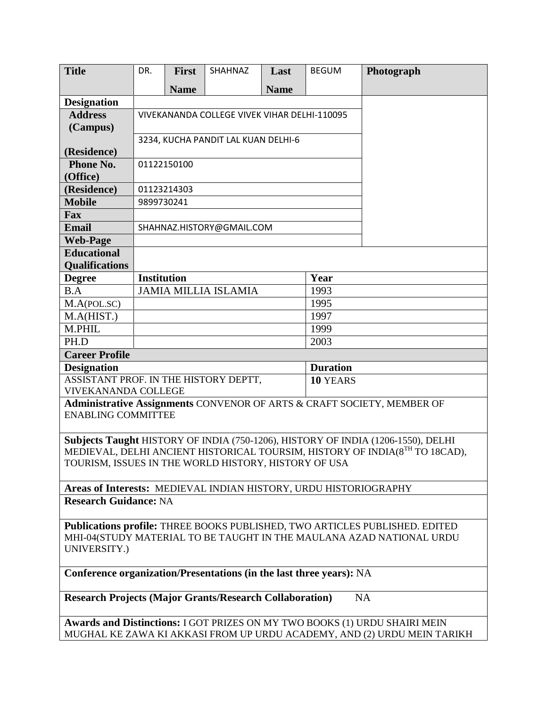| <b>Title</b>                                                                                         | DR.                                          | <b>First</b>               | SHAHNAZ                     | Last        | <b>BEGUM</b>    | Photograph |  |  |
|------------------------------------------------------------------------------------------------------|----------------------------------------------|----------------------------|-----------------------------|-------------|-----------------|------------|--|--|
|                                                                                                      |                                              | <b>Name</b>                |                             | <b>Name</b> |                 |            |  |  |
| <b>Designation</b>                                                                                   |                                              |                            |                             |             |                 |            |  |  |
| <b>Address</b>                                                                                       | VIVEKANANDA COLLEGE VIVEK VIHAR DELHI-110095 |                            |                             |             |                 |            |  |  |
| (Campus)                                                                                             |                                              |                            |                             |             |                 |            |  |  |
|                                                                                                      | 3234, KUCHA PANDIT LAL KUAN DELHI-6          |                            |                             |             |                 |            |  |  |
| (Residence)                                                                                          |                                              |                            |                             |             |                 |            |  |  |
| <b>Phone No.</b><br>(Office)                                                                         | 01122150100                                  |                            |                             |             |                 |            |  |  |
| (Residence)                                                                                          | 01123214303                                  |                            |                             |             |                 |            |  |  |
| <b>Mobile</b>                                                                                        | 9899730241                                   |                            |                             |             |                 |            |  |  |
| <b>Fax</b>                                                                                           |                                              |                            |                             |             |                 |            |  |  |
| <b>Email</b>                                                                                         | SHAHNAZ.HISTORY@GMAIL.COM                    |                            |                             |             |                 |            |  |  |
| <b>Web-Page</b>                                                                                      |                                              |                            |                             |             |                 |            |  |  |
| <b>Educational</b>                                                                                   |                                              |                            |                             |             |                 |            |  |  |
| <b>Qualifications</b>                                                                                |                                              |                            |                             |             |                 |            |  |  |
| <b>Degree</b>                                                                                        |                                              | <b>Institution</b><br>Year |                             |             |                 |            |  |  |
| B.A                                                                                                  |                                              |                            | <b>JAMIA MILLIA ISLAMIA</b> |             | 1993            |            |  |  |
| M.A(POL.SC)                                                                                          |                                              |                            |                             |             | 1995            |            |  |  |
| M.A(HIST.)                                                                                           |                                              |                            |                             |             | 1997            |            |  |  |
| M.PHIL                                                                                               |                                              |                            |                             |             | 1999            |            |  |  |
| PH.D                                                                                                 |                                              |                            |                             |             | 2003            |            |  |  |
| <b>Career Profile</b>                                                                                |                                              |                            |                             |             |                 |            |  |  |
| <b>Designation</b>                                                                                   |                                              |                            |                             |             | <b>Duration</b> |            |  |  |
|                                                                                                      | ASSISTANT PROF. IN THE HISTORY DEPTT,        |                            |                             |             | 10 YEARS        |            |  |  |
| <b>VIVEKANANDA COLLEGE</b><br>Administrative Assignments CONVENOR OF ARTS & CRAFT SOCIETY, MEMBER OF |                                              |                            |                             |             |                 |            |  |  |
| <b>ENABLING COMMITTEE</b>                                                                            |                                              |                            |                             |             |                 |            |  |  |
|                                                                                                      |                                              |                            |                             |             |                 |            |  |  |
| Subjects Taught HISTORY OF INDIA (750-1206), HISTORY OF INDIA (1206-1550), DELHI                     |                                              |                            |                             |             |                 |            |  |  |
| MEDIEVAL, DELHI ANCIENT HISTORICAL TOURSIM, HISTORY OF INDIA(8TH TO 18CAD),                          |                                              |                            |                             |             |                 |            |  |  |
| TOURISM, ISSUES IN THE WORLD HISTORY, HISTORY OF USA                                                 |                                              |                            |                             |             |                 |            |  |  |
|                                                                                                      |                                              |                            |                             |             |                 |            |  |  |
| Areas of Interests: MEDIEVAL INDIAN HISTORY, URDU HISTORIOGRAPHY                                     |                                              |                            |                             |             |                 |            |  |  |
| <b>Research Guidance: NA</b>                                                                         |                                              |                            |                             |             |                 |            |  |  |
| Publications profile: THREE BOOKS PUBLISHED, TWO ARTICLES PUBLISHED. EDITED                          |                                              |                            |                             |             |                 |            |  |  |
| MHI-04(STUDY MATERIAL TO BE TAUGHT IN THE MAULANA AZAD NATIONAL URDU                                 |                                              |                            |                             |             |                 |            |  |  |
| UNIVERSITY.)                                                                                         |                                              |                            |                             |             |                 |            |  |  |
|                                                                                                      |                                              |                            |                             |             |                 |            |  |  |
| Conference organization/Presentations (in the last three years): NA                                  |                                              |                            |                             |             |                 |            |  |  |
| <b>Research Projects (Major Grants/Research Collaboration)</b><br><b>NA</b>                          |                                              |                            |                             |             |                 |            |  |  |
| Awards and Distinctions: I GOT PRIZES ON MY TWO BOOKS (1) URDU SHAIRI MEIN                           |                                              |                            |                             |             |                 |            |  |  |
| MUGHAL KE ZAWA KI AKKASI FROM UP URDU ACADEMY, AND (2) URDU MEIN TARIKH                              |                                              |                            |                             |             |                 |            |  |  |
|                                                                                                      |                                              |                            |                             |             |                 |            |  |  |